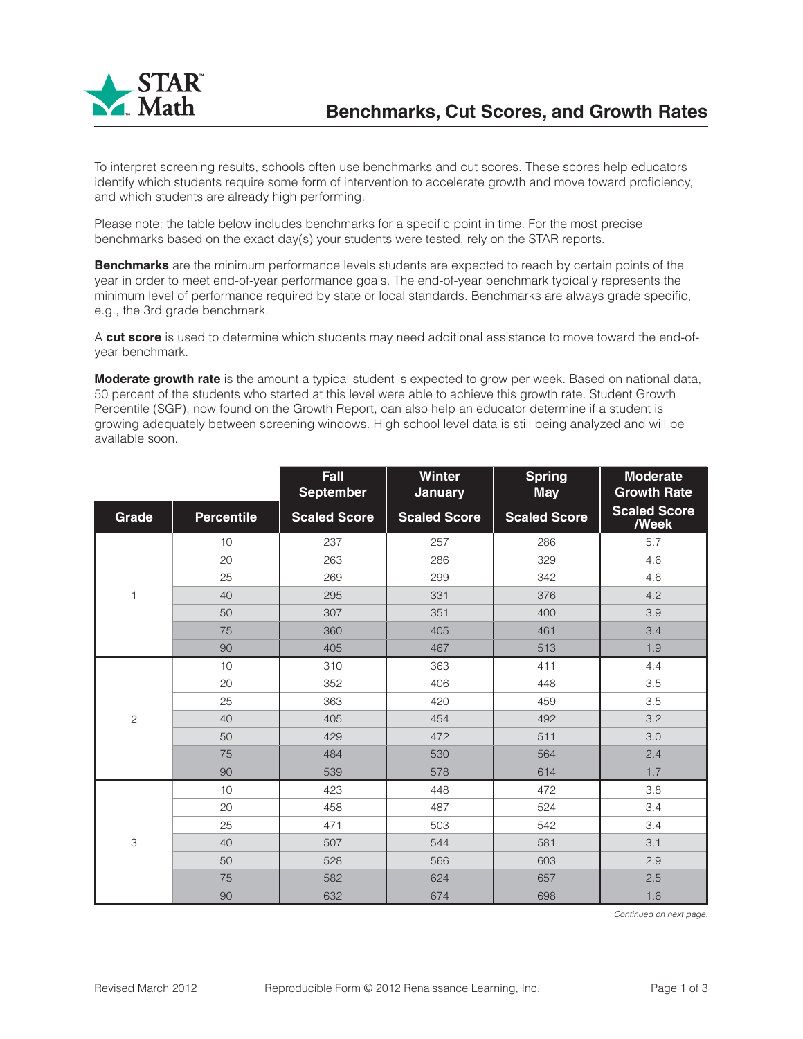

To interpret screening results, schools often use benchmarks and cut scores. These scores help educators identify which students require some form of intervention to accelerate growth and move toward proficiency, and which students are already high performing.

Please note: the table below includes benchmarks for a specific point in time. For the most precise benchmarks based on the exact day(s) your students were tested, rely on the STAR reports.

**Benchmarks** are the minimum performance levels students are expected to reach by certain points of the year in order to meet end-of-year performance goals. The end-of-year benchmark typically represents the minimum level of performance required by state or local standards. Benchmarks are always grade specific, e.g., the 3rd grade benchmark.

A **cut score** is used to determine which students may need additional assistance to move toward the end-ofyear benchmark.

**Moderate growth rate** is the amount a typical student is expected to grow per week. Based on national data, 50 percent of the students who started at this level were able to achieve this growth rate. Student Growth Percentile (SGP), now found on the Growth Report, can also help an educator determine if a student is growing adequately between screening windows. High school level data is still being analyzed and will be available soon.

|                |                   | Fall<br><b>September</b> | <b>Winter</b><br><b>January</b> | <b>Spring</b><br><b>May</b> | <b>Moderate</b><br><b>Growth Rate</b> |
|----------------|-------------------|--------------------------|---------------------------------|-----------------------------|---------------------------------------|
| Grade          | <b>Percentile</b> | <b>Scaled Score</b>      | <b>Scaled Score</b>             | <b>Scaled Score</b>         | <b>Scaled Score</b><br><b>Week</b>    |
| 1              | 10                | 237                      | 257                             | 286                         | 5.7                                   |
|                | 20                | 263                      | 286                             | 329                         | 4.6                                   |
|                | 25                | 269                      | 299                             | 342                         | 4.6                                   |
|                | 40                | 295                      | 331                             | 376                         | 4.2                                   |
|                | 50                | 307                      | 351                             | 400                         | 3.9                                   |
|                | 75                | 360                      | 405                             | 461                         | 3.4                                   |
|                | 90                | 405                      | 467                             | 513                         | 1.9                                   |
|                | 10                | 310                      | 363                             | 411                         | 4.4                                   |
|                | 20                | 352                      | 406                             | 448                         | 3.5                                   |
|                | 25                | 363                      | 420                             | 459                         | 3.5                                   |
| $\overline{c}$ | 40                | 405                      | 454                             | 492                         | 3.2                                   |
|                | 50                | 429                      | 472                             | 511                         | 3.0                                   |
|                | 75                | 484                      | 530                             | 564                         | 2.4                                   |
|                | 90                | 539                      | 578                             | 614                         | 1.7                                   |
| 3              | 10                | 423                      | 448                             | 472                         | 3.8                                   |
|                | 20                | 458                      | 487                             | 524                         | 3.4                                   |
|                | 25                | 471                      | 503                             | 542                         | 3.4                                   |
|                | 40                | 507                      | 544                             | 581                         | 3.1                                   |
|                | 50                | 528                      | 566                             | 603                         | 2.9                                   |
|                | 75                | 582                      | 624                             | 657                         | 2.5                                   |
|                | 90                | 632                      | 674                             | 698                         | 1.6                                   |

*Continued on next page.*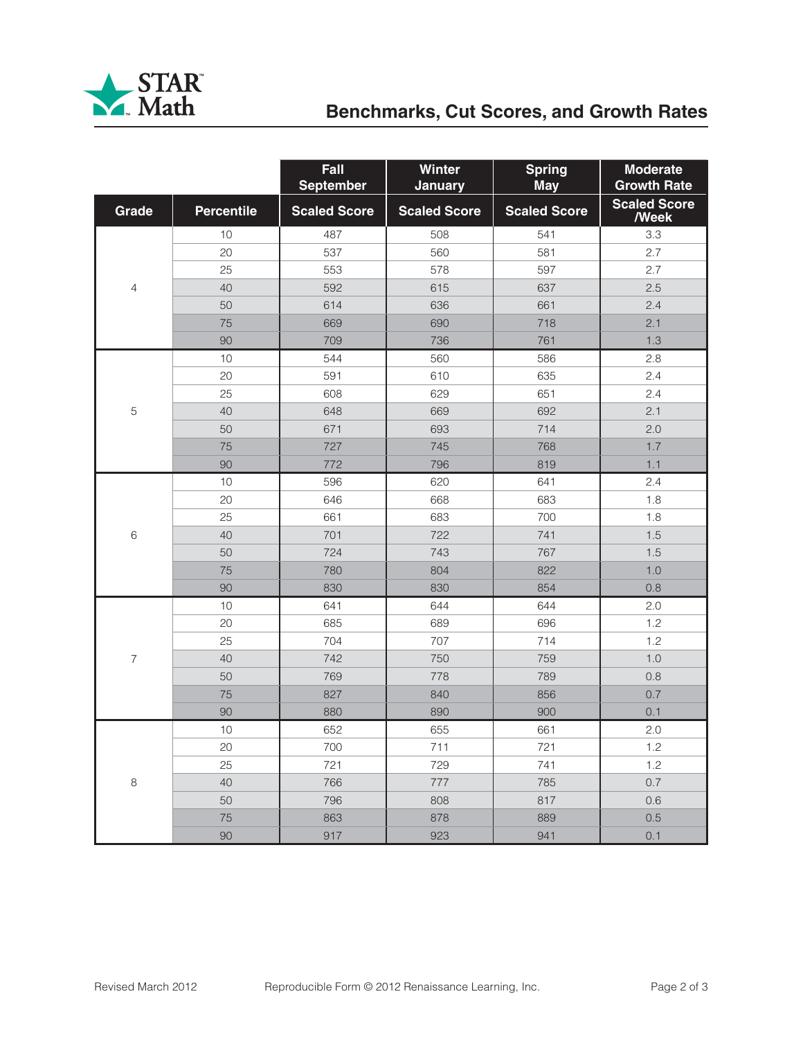

## **Benchmarks, Cut Scores, and Growth Rates**

|                |                   | Fall<br><b>September</b> | Winter<br><b>January</b> | <b>Spring</b><br><b>May</b> | <b>Moderate</b><br><b>Growth Rate</b> |
|----------------|-------------------|--------------------------|--------------------------|-----------------------------|---------------------------------------|
| Grade          | <b>Percentile</b> | <b>Scaled Score</b>      | <b>Scaled Score</b>      | <b>Scaled Score</b>         | <b>Scaled Score</b><br><b>Week</b>    |
|                | 10                | 487                      | 508                      | 541                         | 3.3                                   |
| 4              | 20                | 537                      | 560                      | 581                         | 2.7                                   |
|                | 25                | 553                      | 578                      | 597                         | 2.7                                   |
|                | 40                | 592                      | 615                      | 637                         | 2.5                                   |
|                | 50                | 614                      | 636                      | 661                         | 2.4                                   |
|                | 75                | 669                      | 690                      | 718                         | 2.1                                   |
|                | 90                | 709                      | 736                      | 761                         | 1.3                                   |
|                | 10                | 544                      | 560                      | 586                         | 2.8                                   |
|                | 20                | 591                      | 610                      | 635                         | 2.4                                   |
|                | 25                | 608                      | 629                      | 651                         | 2.4                                   |
| 5              | 40                | 648                      | 669                      | 692                         | 2.1                                   |
|                | 50                | 671                      | 693                      | 714                         | 2.0                                   |
|                | 75                | 727                      | 745                      | 768                         | 1.7                                   |
|                | 90                | 772                      | 796                      | 819                         | 1.1                                   |
|                | 10                | 596                      | 620                      | 641                         | 2.4                                   |
|                | 20                | 646                      | 668                      | 683                         | 1.8                                   |
|                | 25                | 661                      | 683                      | 700                         | 1.8                                   |
| 6              | 40                | 701                      | 722                      | 741                         | 1.5                                   |
|                | 50                | 724                      | 743                      | 767                         | 1.5                                   |
|                | 75                | 780                      | 804                      | 822                         | 1.0                                   |
|                | 90                | 830                      | 830                      | 854                         | 0.8                                   |
|                | 10                | 641                      | 644                      | 644                         | 2.0                                   |
|                | 20                | 685                      | 689                      | 696                         | 1.2                                   |
|                | 25                | 704                      | 707                      | 714                         | 1.2                                   |
| $\overline{7}$ | 40                | 742                      | 750                      | 759                         | 1.0                                   |
|                | 50                | 769                      | 778                      | 789                         | 0.8                                   |
|                | 75                | 827                      | 840                      | 856                         | 0.7                                   |
|                | 90                | 880                      | 890                      | 900                         | 0.1                                   |
|                | 10                | 652                      | 655                      | 661                         | 2.0                                   |
| $\,8\,$        | 20                | 700                      | 711                      | 721                         | 1.2                                   |
|                | 25                | 721                      | 729                      | 741                         | 1.2                                   |
|                | 40                | 766                      | 777                      | 785                         | $0.7\,$                               |
|                | 50                | 796                      | 808                      | 817                         | 0.6                                   |
|                | $75\,$            | 863                      | 878                      | 889                         | $0.5\,$                               |
|                | $90\,$            | 917                      | 923                      | 941                         | 0.1                                   |